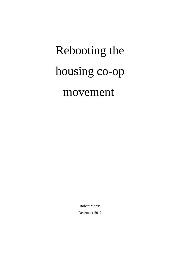# Rebooting the housing co-op movement

Robert Morris December 2012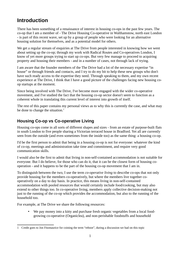# **Introduction**

There has been something of a renaissance of interest in housing co-ops in the past few years. The co-op that I am a member of - The Drive Housing Co-operative in Walthamstow, north east London - is part of this recent wave, set up by a group of people who were looking for an alternative housing solution for themselves, and as a potential model for others.

We get a regular stream of enquiries at The Drive from people interested in knowing how we went about setting up the co-op; through my work with Radical Routes and Co-operatives London, I know of yet more groups trying to start up co-ops. But very few manage to proceed to acquiring property and housing their members - and in a number of cases, not through lack of trying.

I am aware that the founder members of the The Drive had a lot of the necessary expertise "in house" or through friends and contacts, and I try to do my bit to help these new groups who don't have such ready access to the expertise they need. Through speaking to them, and my own recent experience at The Drive, I think that I have a good picture of the challenges facing new housing coop startups at the moment.

Since being involved with The Drive, I've become more engaged with the wider co-operative movement, and I've studied the fact that the housing co-op sector doesn't seem to function as a coherent whole in translating this current level of interest into growth of itself.

The rest of this paper contains my personal views as to why this is currently the case, and what may be done to change the situation. $<sup>1</sup>$  $<sup>1</sup>$  $<sup>1</sup>$ </sup>

# **Housing Co-op vs Co-operative Living**

Housing co-ops come in all sorts of different shapes and sizes - from an estate of purpose-built flats in south London to five people sharing a Victorian terraced house in Bradford. Yet all are currently seen from the outside (and even sometimes from the inside too) as the same thing: a housing co-op.

I'd be the first person to admit that being in a housing co-op is not for everyone: whatever the kind of co-op, meetings and administration take time and commitment, and require very good communication skills.

I would also be the first to admit that living in non-self-contained accommodation is not suitable for everyone. But I do believe, for those who can do it, that it can be the closest form of housing cooperation - and it happens to be the part of the housing co-op movement that I am in.

To distinguish between the two, I use the term *co-operative living* to describe co-ops that not only provide housing for the members co-operatively, but where the members live together cooperatively on a day to day basis. In practice, this means living in non-self-contained accommodation with pooled resources that would certainly include food/cooking, but may also extend to other things too. In co-operative living, members apply collective decision-making not just to the running of the co-op which provides the accommodation, but also to the running of the household too.

For example, at The Drive we share the following resources:

• We pay money into a kitty and purchase fresh organic vegetables from a local foodgrowing co-operative (Organiclea), and non-perishable foodstuffs and household

<span id="page-1-0"></span><sup>1</sup> Credit goes to Jon Fitzmaurice for coining the term "reboot", during a discussion we had on this topic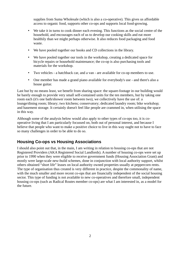supplies from Suma Wholesale (which is also a co-operative). This gives us affordable access to organic food, supports other co-ops and supports local food-growing.

- We take it in turns to cook dinner each evening. This functions as the social centre of the household, and encourages each of us to develop our cooking skills and eat more healthily than we might perhaps otherwise. It also reduces food packaging and food waste.
- We have pooled together our books and CD collections in the library.
- We have pooled together our tools in the workshop, creating a dedicated space for bicycle repairs or household maintenance; the co-op is also purchasing tools and materials for the workshop.
- Two vehicles a hatchback car, and a van are available for co-op members to use.
- One member has made a grand piano available for everybody's use and there's also a house guitar.

Last but by no means least, we benefit from sharing space: the square-footage in our building would be barely enough to provide very small self-contained units for the ten members, but by taking one room each (it's one bath/shower room between two), we collectively have the use of: a lounge/dining room; library; two kitchens; conservatory; dedicated laundry room; bike workshop; and basement storage. It certainly doesn't feel like people are crammed in, when utilising the space in this way.

Although some of the analysis below would also apply to other types of co-ops too, it is cooperative living that I am particularly focussed on, both out of personal interest, and because I believe that people who want to make a positive choice to live in this way ought not to have to face so many challenges in order to be able to do so.

# **Housing Co-ops vs Housing Associations**

I should also point out that, in the main, I am writing in relation to housing co-ops that are not Registered Providers (AKA Registered Social Landlords). A number of housing co-ops were set up prior to 1990 when they were eligible to receive government funds (Housing Association Grant) and mostly were large-scale new-build schemes, done in conjunction with local authority support, whilst others obtained "short life" leases on local authority owned properties usually at peppercorn rents. The type of organisation thus created is very different in practice, despite the commonality of name, with the much smaller and more recent co-ops that are financially independent of the social housing sector. This type of funding is not available to new co-operatives and therefore small, independent housing co-ops (such as Radical Routes member co-ops) are what I am interested in, as a model for the future.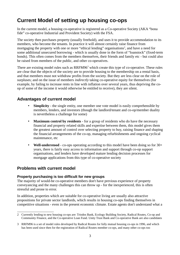# **Current Model of setting up housing co-ops**

In the current model, a housing co-operative is registered as a Co-operative Society (AKA "bona fide" co-operative Industrial and Provident Society) with the FSA.

The society then purchases property (usually freehold), and uses it to provide accommodation to its members, who become the tenants. In practice it will almost certainly raise finance from mortgaging the property with one or more "ethical lending" organisations<sup>[2](#page-3-0)</sup>, and have a need for some additional unsecured borrowing - which is usually done in the form of "loanstock" (fixed-term bonds). This often comes from the members themselves, their friends and family etc - but could also be raised from members of the public, and other co-operatives.

There are existing model rules such as  $\mathsf{RRFM96}^3$  $\mathsf{RRFM96}^3$  which create this type of co-operative. These rules are clear that the objects of the society are to provide housing to the membership on a rental basis, and that members must not withdraw profits from the society. But they are less clear on the role of surpluses; and on the issue of members *indirectly* taking co-operative equity for themselves (for example, by failing to increase rents in line with inflation over several years, thus depriving the coop of some of the income it would otherwise be entitled to receive), they are silent.

# **Advantages of current model**

- **Simplicity** the single entity, one member one vote model is easily comprehensible by members, lenders, and investors (though the landlord/tenant and co-op/member duality is nevertheless a challenge for some)
- **Maximum control by residents**  for a group of residents who do have the necessary financial and property related skills and expertise between them, this model gives them the greatest amount of control over selecting property to buy, raising finance and shaping the financial arrangements of the co-op, managing refurbishments and ongoing cyclical maintenance, etc
- **Well-understood**  co-ops operating according to this model have been doing so for 30+ years, there is fairly easy access to information and support through co-op support organisations, and lenders have developed mature lending decision processes for mortgage applications from this type of co-operative society

# **Problems with current model**

# **Property purchasing is too difficult for new groups**

The majority of would-be co-operative members don't have previous experience of property conveyancing and the many challenges this can throw up - for the inexperienced, this is often stressful and prone to error.

In addition, properties which are suitable for co-operative living are usually also attractive propositions for private sector landlords, which results in housing co-ops finding themselves in competitive situations - even in the present economic climate. Estate agents don't understand what a

<span id="page-3-0"></span><sup>2</sup> Currently lending to new housing co-ops are: Triodos Bank, Ecology Building Society, Radical Routes, Co-op and Community Finance, and the Co-operative Loan Fund. Unity Trust Bank and Co-operative Bank are also candidates

<span id="page-3-1"></span><sup>3</sup> RRFM96 is a set of model rules developed by Radical Routes for fully mutual housing co-ops in 1996, and which has been used since then for the registration of Radical Routes member co-ops, and many other co-ops too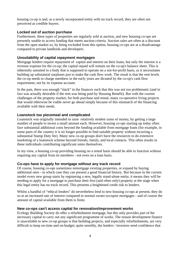housing co-op is and, as a newly incorporated entity with no track record, they are often not perceived as credible buyers.

## **Locked out of auction purchase**

Furthermore, these types of properties are regularly sold at auction, and new housing co-ops are presently unable to access funding that meets auction criteria. Auction sales are often at a discount from the open market so, by being excluded from this option, housing co-ops are at a disadvantage compared to private landlords and developers.

# **Unsuitability of capital repayment mortgages**

Mortgage lenders require repayment of capital and interest on their loans, but only the interest is a revenue expense for the co-op; the capital repaid will remain on the co-op's balance sheet. This is inherently unsuited to a body that is supposed to operate on a not-for-profit basis, as it necessitates building up substantial surpluses just to make the cash flow work. The result is that the rent levels the co-op needs to charge members in the early years are dictated by the co-op's cash flow requirement, not by its expense account.

In the past, there was enough "slack" in the finances such that this was not too problematic (and in fact was actually desirable if the rent was being paid by Housing Benefit). But with the current challenges of the property market, for both purchase and rental, many co-operative living projects that would otherwise be viable never go ahead simply because of this mismatch of the financing available with their needs.

# **Loanstock too piecemeal and complicated**

Loanstock was originally intended to raise relatively modest sums of money, by getting a large number of people to invest a small amount each. However, housing co-ops starting up today often face substantial additional costs beyond the funding available from mortgage loans (for example, in some parts of the country it is no longer possible to find suitable property without incurring a substantial Stamp Duty fee). Many new co-op groups don't have the resources to do extensive marketing of a loanstock scheme beyond friends, family, and local contacts. This often results in these individuals contributing significant sums themselves.

In my view, a housing co-op providing housing on a rental basis should be able to function without requiring any capital from its members - not even on a loan basis.

# **Co-ops have to apply for mortgage without any track record**

Of course, housing co-ops sometimes remortgage existing properties, or expand by buying additional ones - in which case they can present a good financial history. But because in the current model every new group starts by registering a new, legally stand-alone entity, it means they will be needing to apply for a mortgage to purchase their first (and often only) property at the stage when this legal entity has no track record. This presents a heightened credit risk to lenders.

Whilst a handful of "ethical lenders" do nevertheless lend to new housing co-ops at present, they do so at an increased rate of interest compared to normal owner-occupier mortgages - and of course the amount of capital available from them is finite.

## **New co-ops can't access capital for renovation/improvement works**

Ecology Building Society do offer a refurbishment mortgage, but this only provides part of the necessary capital to carry out any significant programme of works. The reason development finance is unavailable to new co-op groups is that building projects, and especially refurbishments, are very difficult to keep on-time and on-budget; quite sensibly, the lenders / investors need confidence that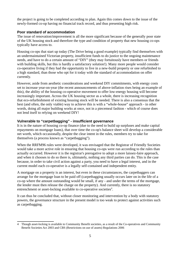the project is going to be completed according to plan. Again this comes down to the issue of the newly-formed co-op having no financial track record, and thus presenting high risk.

# **Poor standard of accommodation**

The issue of renovation/improvement is all the more significant because of the generally poor state of the UK housing stock and therefore the type and condition of property that new housing co-ops typically have access to.

Housing co-ops that start up today (The Drive being a good example) typically find themselves with an undermaintained Victorian property, insufficient funds to do justice to the ongoing maintenance needs, and have to do a certain amount of "DIY" (they may fortuitously have members or friends with building skills, but this is hardly a satisfactory solution!). Many more people would consider co-operative living if they had the opportunity to live in a new-build property or one refurbished to a high standard, than those who opt for it today with the standard of accommodation on offer currently.

However, aside from aesthetic considerations and weekend DIY commitments, with energy costs set to increase year-on-year (the recent announcements of above-inflation rises being an example of this), the ability of the housing co-operative movement to offer low-energy housing will become increasingly important. Across the UK housing sector as a whole, there is increasing recognition that eco-refurbishment of existing housing stock will be needed. There is also a consensus that the best (and often, the only viable) way to achieve this is with a "whole-house" approach - in other words, doing all major building works at once, not in a piecemeal fashion - which of course does not lend itself to relying on weekend DIY!

# **Vulnerable to "carpetbagging" - insufficient governance**

It is in the nature of housing co-op finance (due to the need to build up surpluses and make capital repayments on mortgage loans), that over time the co-op's balance sheet will develop a considerable net worth, which occasionally, despite the clear intent in the rules, members try to take for themselves (a process known as "carpetbagging").

When the RRFM96 rules were developed, it was envisaged that the Registrar of Friendly Societies would take a more active role in ensuring that housing co-ops were run according to the rules than actually occurred. However it is the registrar's prerogative to adopt a more laissez-faire approach, and when it chooses to do so there is, ultimately, nothing any third parties can do. This is the case because, in order to take civil action against a party, you need to have a legal interest, and in the current model each co-operative is a legally self-contained and independent entity.

A mortgage on a property is an interest, but even in these circumstances, the carpetbaggers can arrange for the mortgage loan to be paid off (carpetbagging usually occurs later on in the life of a co-op where the amount outstanding would be small, if any - and under the terms of the mortgage, the lender must then release the charge on the property). And currently, there is no statutory entrenchment or asset-locking available to co-operative societies<sup>[4](#page-5-0)</sup>.

It can thus be concluded that, without closer monitoring and intervention by a body with statutory powers, the governance structure in the present model is too weak to protect against activities such as carpetbagging.

<span id="page-5-0"></span><sup>4</sup> Though asset-locking is available to Community Benefit societies, as a result of the Co-operatives and Community Benefit Societies Act 2003 and CBS (Restrictions on use of assets) Regulations 2006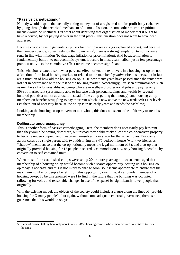# **"Passive carpetbagging"**

Nobody would dispute that actually taking money out of a registered not-for-profit body (whether by going through the technical mechanism of demutualisation, or some other more surreptitious means) would be unethical. But what about depriving that organisation of money that it ought to have received, by not paying it over in the first place? This question does not seem to have been addressed.

Because co-ops have to generate surpluses for cashflow reasons (as explained above), and because the members decide, collectively, on their own rents<sup>[5](#page-6-0)</sup>, there is a strong temptation to not increase rents in line with inflation (be that wage inflation or price inflation). And because inflation is fundamentally built in to our economic system, it occurs in most years - albeit just a few percentage points usually - so the cumulative effect over time becomes significant.

This behaviour creates a somewhat perverse effect: often, the rent levels in a housing co-op are not a function of the local housing market, or related to the members' *genuine* circumstances, but in fact are a function of how old the housing co-op is - ie how many years have passed since the rents were last set in accordance with the rest of the housing market! Accordingly, I've seen circumstances such as members of a long-established co-op who are in well-paid professional jobs and paying only 50% of market rent (presumably able to increase their personal savings and wealth by several hundred pounds a month as a result, instead of the co-op getting that money); and housing co-op members on benefits struggling to pay their rent which is now above the new (reduced) LHA levels (set there out of necessity because the co-op is in its early years and needs the cashflow).

Looking at the housing co-op movement as a whole, this does not seem to be a fair way to treat its membership.

#### **Deliberate underoccupancy**

This is another form of passive carpetbagging. Here, the members don't necessarily pay less rent than they would be paying elsewhere, but instead they deliberately allow the co-operative's property to become underoccupied, and thus give themselves more space for the same money. I've come across cases of a single parent with two kids living in a 4/5 bedroom house (with two friends as "shadow" members so that the co-op notionally meets the legal minimum of 3); and a co-op that originally provided housing for 12 people in shared accommodation now only housing 6 people - by conversion to self-contained units.

When most of the established co-ops were set up 20 or more years ago, it wasn't envisaged that membership of a housing co-op would become such a scarce opportunity. Setting up a housing coop today is not easy, and this is not likely to change soon, so it seems appropriate to ensure that the maximum number of people benefit from this opportunity over time. As a founder member of a housing co-op, I'd be disappointed were I to find in the future that the building was occupied (allowing for voids and reasonable changes in use of the space) by significantly fewer people than originally.

With the existing model, the objects of the society could include a clause along the lines of "provide housing for X many people" - but again, without some adequate external governance, there is no guarantee that this would be obeyed.

<span id="page-6-0"></span><sup>5</sup> I am, of course, talking here only about non-RP/RSL housing co-ops, whose members are not entitled to social housing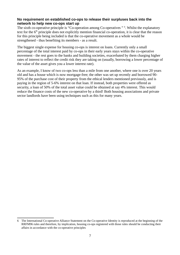## **No requirement on established co-ops to release their surpluses back into the network to help new co-ops start up**

The sixth co-operative principle is "Co-operation among Co-operatives" <sup>[6](#page-7-0)</sup>. Whilst the explanatory text for the  $6<sup>th</sup>$  principle does not explicitly mention financial co-operation, it is clear that the reason for this principle being included is that the co-operative movement as a whole would be strengthened - thus benefiting its members - as a result.

The biggest single expense for housing co-ops is interest on loans. Currently only a small percentage of the total interest paid by co-ops in their early years stays within the co-operative movement - the rest goes to the banks and building societies, exacerbated by them charging higher rates of interest to reflect the credit risk they are taking on (usually, borrowing a lower percentage of the value of the asset gives you a lower interest rate).

As an example, I know of two co-ops less than a mile from one another, where one is over 20 years old and has a house which is now mortgage-free; the other was set up recently and borrowed 90- 95% of the purchase cost of their property from the ethical lenders mentioned previously, and is paying in the region of 5-6% interest on that loan. If instead, both properties were offered as security, a loan of 50% of the total asset value could be obtained at say 4% interest. This would reduce the finance costs of the new co-operative by a third! Both housing associations and private sector landlords have been using techniques such as this for many years.

<span id="page-7-0"></span><sup>6</sup> The International Co-operative Alliance Statement on the Co-operative Identity is reproduced at the beginning of the RRFM96 rules and therefore, by implication, housing co-ops registered with those rules should be conducting their affairs in accordance with the co-operative principles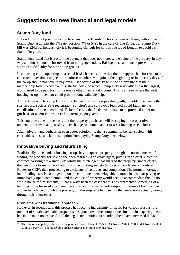# **Suggestions for new financial and legal models**

# **Stamp Duty fund**

In London it is not possible to purchase any property suitable for co-operative living without paying Stamp Duty at at least the 3% rate, possibly 4% or  $5\%$ <sup>[7](#page-8-0)</sup>. In the case of The Drive, our Stamp Duty bill was £24,800. Increasingly it is becoming difficult for co-ops outside of London to avoid 3% Stamp Duty too.

Stamp Duty Land Tax is a one-time payment that does not increase the value of the property in any way and thus cannot be borrowed from mortgage lenders. Raising these amounts represents a significant difficulty for new co-op groups.

In a housing co-op operating on a rental basis, it seems to me that the fair approach is for rents to be consistent over time (subject to inflation); members who join at the beginning or in the early days of the co-op should not have to pay extra just because of the stage in the co-op's life that their membership falls. To achieve this, startup costs (of which Stamp Duty is usually by far the largest) would need to be paid for from a source other than rental income. This is an area where the wider housing co-op movement could provide some valuable help.

A fund from which Stamp Duty would be paid for new co-ops (along with, possibly, the usual other startup costs such as FSA registration, solicitor's and surveyor's fees, etc) could facilitate the equalisation of rents mentioned. To be effective, the funds would have to be provided either on a gift basis or a zero interest over long term (eg 30 years).

This could be done on the basis that the property purchased will be staying in co-operative ownership for ever, and possibly in exchange for some manner of asset locking (see below).

Alternatively - and perhaps an even better solution - is that a community benefit society with charitable status can claim exemption from paying Stamp Duty (see below).

# **Innovative buying and refurbishing**

Traditionally, independent housing co-ops have acquired property through the normal means of finding the property for sale on the open market via an estate agent, putting in an offer subject to contract, carrying out a survey etc whilst the estate agent has marked the property "under offer", then getting a formal offer of loan from the building society (and secondary lender eg Radical Routes or CCF), then proceeding to exchange of contracts and completion. The normal mortgage loan funding used is contingent upon the co-op members being able to move in and start paying rent immediately upon completion - and the choice of property would need to accommodate this (ie no whole-house refurbishment!). It has always been the case that this has represented something of a learning curve for most co-op members; Radical Routes provides support in terms of both written and verbal advice through this process, but the emphasis has been on the new co-ops actually going through this themselves.

# **Problems with traditional approach**

However, in recent years, this process has become increasingly difficult, for various reasons: the number of suitable available properties has gone down, the competitive situation in acquiring them has in the main not reduced, and the legal complexities surrounding them have increased (HMO

<span id="page-8-0"></span><sup>7</sup> The rate of stamp duty is based on the purchase price (1% up to £250k; 3% from £250k to £500k; 4% from £500k to £1m; 5% over 1m) but the *whole* purchase price is then subject to this rate.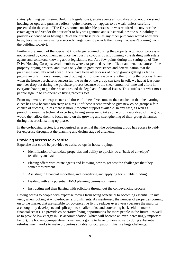status, planning permission, Building Regulations); estate agents almost always do not understand housing co-ops, and purchase offers - quite incorrectly - appear to be weak, unless carefully presented (in the case of The Drive, some considerable persuasion was required to convince the estate agent and vendor that our offer to buy was genuine and substantial, despite our inability to provide evidence of us having 10% of the purchase price, as any other purchaser would normally have, because we were using a second-charge loan to provide the money that wasn't coming from the building society).

Furthermore, much of the specialist knowledge required during the property acquisition process is not required by co-op members once the housing co-op is up and running - the dealing with estate agents and solicitors, knowing about legislation, etc. At a few points during the setting up of The Drive Housing Co-op, several members were exasperated by the difficult and tenuous nature of the property-buying process, and it was only due to great persistence and determination that the purchase eventually went ahead. There have been other cases of co-op groups getting as far as putting an offer in on a house, then dropping out for one reason or another during the process. Even when the house purchase is successful, the strain on the group can take its toll: we had at least one member drop out during the purchase process because of the sheer amount of time and effort in everyone having to get their heads around the legal and financial issues. This stuff is not what most people sign up to co-operative living projects for!

From my own recent experience and those of others, I've come to the conclusion that the learning curve has now become too steep as a result of these recent trends to give new co-op groups a fair chance of success, unless there is more *proactive* support available. In any case, as well as providing one-time technical expertise, having someone to take some of this workload off the group would then allow them to focus more on the growing and strengthening of their group dynamics during this crucial setting up phase.

In the co-housing sector, it is recognised as essential that the co-housing group has access to paidfor expertise throughout the planning and design stage of a scheme.

#### **Providing access to expertise**

Expertise that could be provided to assist co-ops in house-buying:

- Identification of candidate properties and ability to quickly do a "back of envelope" feasibility analysis
- Placing offers with estate agents and knowing how to get past the challenges that they sometimes present
- Assisting in financial modelling and identifying and applying for suitable funding
- Dealing with any potential HMO planning permission issues
- Instructing and then liaising with solicitors throughout the conveyancing process

Having access to people with expertise moves from being beneficial to becoming essential, in my view, when looking at whole-house refurbishments. As mentioned, the number of properties coming on to the market that are suitable for co-operative living reduces every year (because the majority are bought by developers and split up into smaller units, and converting back seldom makes financial sense). To provide co-operative living opportunities for more people in the future - as well as to provide low energy in use accommodation (which will become an ever increasingly important factor), the housing co-operative movement is going to have to move towards doing substantial refurbishment works to make properties suitable for occupation. This is a huge challenge.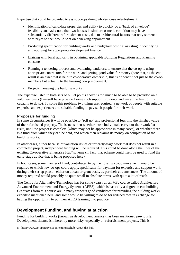Expertise that could be provided to assist co-ops doing whole-house refurbishment:

- Identification of candidate properties and ability to quickly do a "back of envelope" feasibility analysis; note that two houses in similar cosmetic condition may have substantially different refurbishment costs, due to architectural factors that only someone with "eyes to see" would spot on a viewing appointment
- Producing specification for building works and budgetary costing; assisting in identifying and applying for appropriate development finance
- Liaising with local authority in obtaining applicable Building Regulations and Planning consents
- Running a tendering process and evaluating tenderers, to ensure that the co-op is using appropriate contractors for the work and getting good value for money (note that, as the end result is an asset that is held in co-operative ownership, this is of benefit not just to the co-op members but actually to the housing co-op movement)
- Project-managing the building works

The expertise listed in both sets of bullet points above is too much to be able to be provided on a volunteer basis (I myself have provided some such support *pro bono*, and am at the limit of my capacity to do so). To solve this problem, two things are required: a network of people with suitable expertise and experience; and suitable funding to pay such people for their work.

# **Proposals for funding**

In some circumstances it will be possible to "roll up" any professional fees into the finished value of the refurbished property. The issue is then whether those individuals carry out their work "at risk", until the project is complete (which may not be appropriate in many cases), or whether there is a fund from which they can be paid, and which then reclaims its money on completion of the building works.

In other cases, either because of valuation issues or for early-stage work that does not result in a completed project, independent funding will be required. This could be done along the lines of the existing Co-operative Enterprise Hub<sup>[8](#page-10-0)</sup> scheme (in fact, that scheme could itself be used to fund the early-stage advice that is being proposed here).

In both cases, some manner of fund, contributed to by the housing co-op movement, would be required to which new co-ops could apply, specifically for payment for expertise and support work during their set-up phase - either on a loan or grant basis, as per their circumstances. The amount of money required would probably be quite small in absolute terms, with quite a lot of reach.

The Centre for Alternative Technology has for some years run an MSc course called Architecture Advanced Environment and Energy Systems (AEES), which is basically a degree in eco-building. Graduates from this course are in many respects good candidates for providing the building works expertise mentioned here, and some would be willing to do so for reduced fees in exchange for having the opportunity to put their AEES learning into practice.

# **Development Funding, and buying at auction**

Funding for building works (known as development finance) has been mentioned previously. Development finance is inherently more risky, especially on refurbishment projects. This is

<span id="page-10-0"></span><sup>8</sup> http://www.co-operative.coop/enterprisehub/About-the-hub/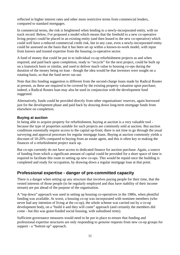reflected in higher interest rates and other more restrictive terms from commercial lenders, compared to standard mortgages.

In commercial terms, the risk is heightened when lending to a newly-incorporated entity, with no track record. Below, I've proposed a model which means that the freehold to a new co-operative living project could be placed in an existing entity (and then leased to the new co-operative) which could well have a reduced commercial credit risk, but in any case, even a newly-incorporated entity could be assessed on the basis that it has been set up within a known-to-work model, with input from known and trusted expertise from the housing co-operative sector.

A fund of money that could be put in to individual co-op refurbishment projects as and when required, and paid back upon completion, ready to "recycle" for the next project, could be built up on a loanstock basis or similar, and used to deliver much value to housing co-ops during the duration of the money being on loan - though the idea would be that investors were sought on a rotating basis, so that the fund never ran out.

Note that this funding suggestion is different from the second-charge loans made by Radical Routes at present, as these are required to be covered by the existing property valuation upon purchase; indeed, a Radical Routes loan may also be used in conjunction with the development fund suggested.

Alternatively, funds could be provided directly from other organisations' reserves, again borrowed just for the development phase and paid back by drawing down long-term mortgage funds from elsewhere on completion.

## **Buying at auction**

In being able to acquire property for refurbishment, buying at auction is a very valuable tool because the type of properties suitable for such projects are commonly sold at auction. But auction conditions essentially require access to the capital up-front; there is not time to go through the usual surveying and approval processes for regular mortgage loans. Buying at auction commonly yields a discount of 10-20% compared to buying from an estate agent, and this is often key to making the finances of a refurbishment project stack up.

But co-ops currently do not have access to dedicated finance for auction purchase. Again, a source of funding from which a significant amount of capital could be provided for a short space of time is required to facilitate this route to setting up new co-ops. This would be repaid once the building is completed and ready for occupation, by drawing down a regular mortgage loan at that point.

# **Professional expertise - danger of pre-committed capacity**

There is a danger when setting up any structure that involves paying people for their time, that the vested interests of those people (to be regularly employed and thus have stability of their income stream) are put ahead of the purpose of the organisation.

A "top down" approach was used in setting up housing co-operatives in the 1980s, when plentiful funding was available. At worst, a housing co-op was incorporated with nominee members (who never had any intention of living at the co-op), the whole scheme was carried out by a co-op development body, on a "build it and they will come" approach (and certainly the members did come - but this was grant-funded social housing, with subsidised rents).

Sufficient governance measures would need to be put in place to ensure that funding and professional expertise structures are only responding to *genuine* requests from new co-op groups for support - a "bottom up" approach.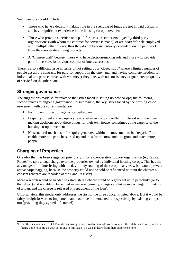Such measures could include:

- Those who have a decision-making role in the spending of funds are not in paid positions, and have significant experience in the housing co-op movement
- Those who provide expertise on a paid-for basis are either employed by third party organisations (with whom the contract for service is made), or are *bona fide* self-employed, with multiple other clients, thus they do not become entirely dependent on the paid work from the co-operative living projects
- A "Chinese wall" between those who have decision-making role and those who provide paid-for service, for obvious conflict of interest reasons

There is also a difficult issue in terms of not setting up a "closed shop" where a limited number of people get all the contracts for paid-for support on the one hand, and having complete freedom for individual co-ops to contract with whomever they like, with no consistency or guarantee of quality of service<sup>[9](#page-12-0)</sup> on the other hand.

# **Stronger governance**

The suggestions made so far relate to the issues faced in setting up new co-ops; the following section relates to ongoing governance. To summarise, the key issues faced by the housing co-op movement with the current model are:

- 1. Insufficient protection against carpetbaggers.
- 2. Disparity of rent and occupancy levels between co-ops; conflict of interest with members making decisions about these things for their own house, sometimes at the expense of the housing co-op movement
- 3. No structural mechanism for equity generated within the movement to be "recycled" to enable more co-ops to be started up and thus for the movement to grow and reach more people

# **Charging of Properties**

One idea that has been suggested previously is for a co-operative support organisation (eg Radical Routes) to take a legal charge over the properties owned by individual housing co-ops. This has the advantage of not interfering with the day-to-day running of the co-op in any way, but would prevent active carpetbagging, because the property could not be sold or refinanced without the chargee's consent (charges are recorded at the Land Registry).

More research would be needed to establish if a charge could be legally set up in perpetuity (or to that effect) and not able to be settled in any way (usually, charges are taken in exchange for making of a loan, and the charge is released on repayment of the loan).

Unfortunately, this model only addresses the first of the three concerns listed above. But it would be fairly straightforward to implement, and could be implemented retrospectively by existing co-ops too (providing they agreed, of course!).

<span id="page-12-0"></span><sup>9</sup> In other sectors, such as CLTs and co-housing, where involvement of professionals is the established norm, work is being done to come up with solutions to this issue - so we can learn from their experience here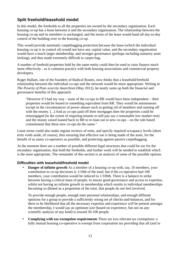# **Split freehold/leasehold model**

In this model, the freeholds to all the properties are owned by the secondary organisation. Each housing co-op has a lease between it and the secondary organisation. The relationship between the housing co-op and its members is unchanged, and the terms of the lease would hand all day-to-day control of the building over to the housing co-op.

This would provide automatic carpetbagging protection because the lease (which the individual housing co-op is in control of) would not have any capital value, and the secondary organisation would have a much larger membership, and stronger governance (perhaps including statutory asset locking), and thus made extremely difficult to carpet-bag.

A number of freehold properties held by the same entity could then be used to raise finance much more effectively - as is common practice with both housing associations and commercial property developers.

Roger Hallam, one of the founders of Radical Routes, now thinks that a leasehold/freehold relationship between the individual co-ops and the network would be more appropriate. Writing in *The Poverty of Post-scarcity Anarchism* (May 2012), he neatly sums up both the financial and governance benefits of this approach:

"However if I had my way – none of the co-ops in RR would have been independent – their properties would be leased or something equivalent from RR. They would be autonomous except in the circumstances of power abuses such as getting rid of members and running off with the money. [...] And as co-ops paid off their mortgages then the properties could be remortgaged (to the extent of requiring tenants to still pay say a reasonable low market rent) and the money raised loaned back to RR to re-loan out to new co-ops – on the rule-based commitment that these new co-ops do the same."

Lease terms could also make regular reviews of rents, and specify required occupancy levels (short term voids aside, of course), thus ensuring that effective use is being made of the asset, for the benefit of as many co-operators as possible, and protecting against passive carpetbagging.

At the moment there are a number of possible different legal structures that could be use for the secondary organisation, that hold the freeholds, and further work will be needed to establish which is the most appropriate. The remainder of this section is an analysis of some of the possible options.

## **Difficulties with leasehold/freehold model**

• **Danger of infinite growth** As a member of a housing co-op with, say, 10 members, your contribution to co-op decisions is 1/10th of the total; but if the co-operative had 100 members, your contribution would be reduced to 1/100th. There is a balance to strike between having a critical mass of people, to ensure good governance and access to expertise, whilst not having an infinite growth in membership which results in individual memberships becoming so diluted as a proportion of the total, that people do not feel involved.

To provide enough people, enough inter-personal relationships, and enough different opinions for a group to provide a sufficiently strong set of checks-and-balances, and for there to be likelihood that all the necessary expertise and experience will be present amongst the membership, I would say an optimum size (based on experience, but not on any scientific analysis of any kind) is around 50-100 people.

• **Complying with tax exemption requirements** There are two relevant tax exemptions: a fully mutual housing co-operative is exempt from corporation tax providing that all (and in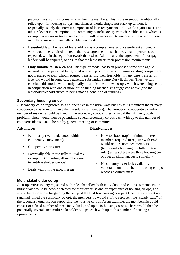practice, most) of its income is rents from its members. This is the exemption traditionally relied upon for housing co-ops, and finances would simply not stack up without it (especially as only the interest component of loan repayments is allowable against tax). The other relevant tax exemption is a community benefit society with charitable status, which is exempt from various taxes (see below). It will be necessary to use one or the other of these in order to make a financially viable new model.

- **Leasehold law** The field of leasehold law is a complex one, and a significant amount of work would be required to create the lease agreement in such a way that it performs as expected, within the legal framework that exists. Additionally, the agreement of mortgage lenders will be required, to ensure that the lease meets their possession requirements.
- **Only suitable for new co-ops** This type of model has been proposed some time ago. A network of co-ops called Fairground was set up on this basis, but most existing co-ops were not prepared to join (which required transferring their freeholds). In any case, transfer of freehold would in some cases generate substantial Stamp Duty liabilities. Thus we can conclude this model would only really be applicable to new co-ops, which were being set up in conjunction with one or more of the funding mechanisms suggested above (and the leasehold/freehold structure being made a condition of funding).

## **Secondary housing co-op**

A secondary co-op registered as a co-operative in the usual way, but has as its members the primary co-operatives (who in turn have their residents as members). The number of co-operatives and/or number of residents could be fixed in the secondary co-op's rules, to avoid the infinite growth problem. There would then be potentially several secondary co-ops each with up to this number of co-ops/residents. Could be run by general meeting or committee.

#### **Advantages Disadvantages**

- Familiarity (well understood within the co-operative movement)
- Co-operative structure
- Potentially able to use fully mutual tax exemption (providing all members are tenant/leaseholder co-ops)
- Deals with infinite growth issue
- How to "bootstrap" minimum three members required to register with FSA, would require nominee members (temporarily breaking the fully mutual rule!) unless there were three housing coops set up simultaneously somehow
- No statutory asset lock available, vulnerable until number of housing co-ops reaches a critical mass

#### **Multi-stakeholder co-op**

A co-operative society registered with rules that allow both individuals and co-ops as members. The individuals would be people selected for their expertise and/or experience of housing co-ops, and would be responsible for guiding the setup of the first few housing co-ops. Once these were set up (and had joined the secondary co-op), the membership would shift to represent the "steady state" of the secondary organisation supporting the housing co-ops. As an example, the membership could consist of a fixed number of three individuals, and up to 10 housing co-ops. There would then be potentially several such multi-stakeholder co-ops, each with up to this number of housing coops/residents.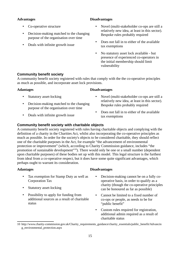- Co-operative structure
- Decision-making matched to the changing purpose of the organisation over time
- Deals with infinite growth issue

## **Advantages Disadvantages**

- Novel (multi-stakeholder co-ops are still a relatively new idea, at least in this sector). Bespoke rules probably required
- Does not fall in to either of the available tax exemptions
- No statutory asset lock available but presence of experienced co-operators in the initial membership should limit vulnerability

# **Community benefit society**

A community benefit society registered with rules that comply with the the co-operative principles as much as possible, and incorporate asset lock provisions.

#### **Adantages Disadvantages**

- Statutory asset-locking
- Decision-making matched to the changing purpose of the organisation over time
- Deals with infinite growth issue
- - Novel (multi-stakeholder co-ops are still a relatively new idea, at least in this sector). Bespoke rules probably required
	- Does not fall in to either of the available tax exemptions

# **Community benefit society with charitable objects**

A community benefit society registered with rules having charitable objects and complying with the definition of a charity in the Charities Act, whilst also incorporating the co-operative principles as much as possible. In order for the society's objects to be considered charitable, they should reflect one of the charitable purposes in the Act, for example "the advancement of environmental protection or improvement" (which, according to Charity Commission guidance, includes "the promotion of sustainable development"<sup>[10](#page-15-0)</sup>). There would only be one or a small number (dependent upon charitable purposes) of these bodies set up with this model. This legal structure is the furthest from ideal from a co-operative respect, but it does have some quite significant advantages, which perhaps ought to warrant its consideration.

- Tax exemption for Stamp Duty as well as Corporation Tax
- Statutory asset-locking
- Possibility to apply for funding from additional sources as a result of charitable status

#### **Adantages Disadvantages**

- Decision-making cannot be on a fully cooperative basis, in order to qualify as a charity (though the co-operative principles can be honoured as far as possible)
- Cannot be limited to a fixed number of co-ops or people, as needs to be for "public benefit"
- Custom rules required for registration, additional admin required as a result of charitable status

<span id="page-15-0"></span><sup>10</sup> http://www.charity-commission.gov.uk/Charity\_requirements\_guidance/charity\_essentials/public\_benefit/Advancin g\_environmental\_protection.aspx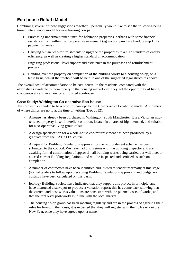# **Eco-house Refurb Model**

Combining several of these suggestions together, I personally would like to see the following being turned into a viable model for new housing co-ops:

- 1. Purchasing undermaintained/unfit-for-habitation properties, perhaps with some financial assistance from within the co-operative movement (eg auction purchase fund, Stamp Duty payment scheme)
- 2. Carrying out an "eco-refurbishment" to upgrade the properties to a high standard of energy efficiency, as well as creating a higher standard of accommodation
- 3. Engaging professional-level support and assistance in the purchase and refurbishment process
- 4. Handing over the property on completion of the building works to a housing co-op, on a lease basis, whilst the freehold will be held in one of the suggested legal structures above

The overall cost of accommodation to be cost-neutral to the residents, compared with the alternatives available to them locally in the housing market - yet they get the opportunity of living co-operatively and in a newly-refurbished eco-house

# **Case Study: Withington Co-operative Eco-house**

This project is intended to be a proof of concept for the Co-operative Eco-house model. A summary of where things are up to at the time of writing (Dec 2012):

- A house has already been purchased in Withington, south Manchester. It is a Victorian midterraced property in semi-derelict condition, located in an area of high demand, and suitable for a co-operative living group of six.
- A design specification for a whole-house eco-refurbishment has been produced, by a graduate from the CAT AEES course.
- A request for Building Regulations approval for the refurbishment scheme has been submitted to the council. We have had discussions with the building inspector and are awaiting formal confirmation of approval - all building works being carried out will meet or exceed current Building Regulations, and will be inspected and certified as such on completion.
- A number of contractors have been identified and invited to tender informally at this stage (formal tenders to follow upon receiving Building Regulations approval), and budgetary costings have been calculated on this basis.
- Ecology Building Society have indicated that they support this project in principle, and have instructed a surveyor to produce a valuation report; this has come back showing that the current and post-works valuations are consistent with the planned costs of works, and that the rent level post-works is in line with the local market.
- The housing co-op group has been meeting regularly and are in the process of agreeing their rules for living in the house; it is expected that they will register with the FSA early in the New Year, once they have agreed upon a name.